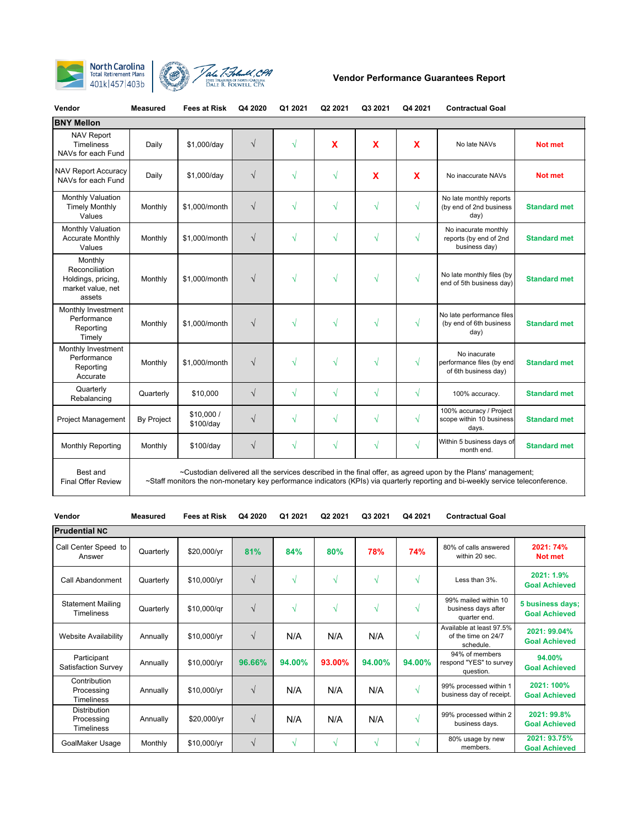



| Vendor                                                                         | <b>Measured</b>   | <b>Fees at Risk</b>    | Q4 2020   | Q1 2021    | Q2 2021     | Q3 2021    | Q4 2021     | <b>Contractual Goal</b>                                                                                      |                     |
|--------------------------------------------------------------------------------|-------------------|------------------------|-----------|------------|-------------|------------|-------------|--------------------------------------------------------------------------------------------------------------|---------------------|
| <b>BNY Mellon</b>                                                              |                   |                        |           |            |             |            |             |                                                                                                              |                     |
| <b>NAV Report</b><br><b>Timeliness</b><br>NAVs for each Fund                   | Daily             | \$1,000/day            | $\sqrt{}$ | $\sqrt{}$  | $\mathbf x$ | X          | $\mathbf x$ | No late NAVs                                                                                                 | Not met             |
| <b>NAV Report Accuracy</b><br>NAVs for each Fund                               | Daily             | \$1,000/day            | $\sqrt{}$ | V          | V           | X          | $\mathbf x$ | No inaccurate NAVs                                                                                           | Not met             |
| <b>Monthly Valuation</b><br><b>Timely Monthly</b><br>Values                    | Monthly           | \$1,000/month          | $\sqrt{}$ | $\sqrt{ }$ | V           | $\sqrt{ }$ | $\sqrt{}$   | No late monthly reports<br>(by end of 2nd business<br>day)                                                   | <b>Standard met</b> |
| Monthly Valuation<br><b>Accurate Monthly</b><br>Values                         | Monthly           | \$1,000/month          | $\sqrt{}$ | V          | √           | $\sqrt{ }$ | $\sqrt{}$   | No inacurate monthly<br>reports (by end of 2nd<br>business day)                                              | <b>Standard met</b> |
| Monthly<br>Reconciliation<br>Holdings, pricing,<br>market value, net<br>assets | Monthly           | \$1,000/month          | $\sqrt{}$ | $\sqrt{}$  | V           | $\sqrt{ }$ | $\sqrt{ }$  | No late monthly files (by<br>end of 5th business day)                                                        | <b>Standard met</b> |
| Monthly Investment<br>Performance<br>Reporting<br>Timely                       | Monthly           | \$1,000/month          | $\sqrt{}$ | V          | √           | $\sqrt{ }$ | $\sqrt{}$   | No late performance files<br>(by end of 6th business<br>day)                                                 | <b>Standard met</b> |
| Monthly Investment<br>Performance<br>Reporting<br>Accurate                     | Monthly           | \$1,000/month          | $\sqrt{}$ | V          | V           | $\sqrt{ }$ | $\sqrt{}$   | No inacurate<br>performance files (by end<br>of 6th business day)                                            | <b>Standard met</b> |
| Quarterly<br>Rebalancing                                                       | Quarterly         | \$10,000               | $\sqrt{}$ | $\sqrt{}$  | $\sqrt{}$   | $\sqrt{ }$ | $\sqrt{}$   | 100% accuracy.                                                                                               | <b>Standard met</b> |
| <b>Project Management</b>                                                      | <b>By Project</b> | \$10,000/<br>\$100/day | $\sqrt{}$ | $\sqrt{}$  | $\sqrt{}$   | $\sqrt{ }$ | $\sqrt{}$   | 100% accuracy / Project<br>scope within 10 business<br>days.                                                 | <b>Standard met</b> |
| Monthly Reporting                                                              | Monthly           | \$100/day              | $\sqrt{}$ | √          | $\sqrt{}$   | $\sqrt{ }$ | $\sqrt{}$   | Within 5 business days of<br>month end.                                                                      | <b>Standard met</b> |
| Best and                                                                       |                   |                        |           |            |             |            |             | ~Custodian delivered all the services described in the final offer, as agreed upon by the Plans' management; |                     |

Final Offer Review

~Custodian delivered all the services described in the final offer, as agreed upon by the Plans' management;

~Staff monitors the non-monetary key performance indicators (KPIs) via quarterly reporting and bi-weekly service teleconference.

| Vendor                                                 | <b>Measured</b> | <b>Fees at Risk</b> | Q4 2020    | Q1 2021 | Q <sub>2</sub> 2021 | Q3 2021 | Q4 2021    | <b>Contractual Goal</b>                                      |                                          |  |
|--------------------------------------------------------|-----------------|---------------------|------------|---------|---------------------|---------|------------|--------------------------------------------------------------|------------------------------------------|--|
| <b>Prudential NC</b>                                   |                 |                     |            |         |                     |         |            |                                                              |                                          |  |
| Call Center Speed to<br>Answer                         | Quarterly       | \$20,000/yr         | 81%        | 84%     | 80%                 | 78%     | 74%        | 80% of calls answered<br>within 20 sec.                      | 2021: 74%<br><b>Not met</b>              |  |
| Call Abandonment                                       | Quarterly       | \$10,000/yr         | V          | V       | V                   | V       | N          | Less than 3%.                                                | 2021: 1.9%<br><b>Goal Achieved</b>       |  |
| <b>Statement Mailing</b><br><b>Timeliness</b>          | Quarterly       | \$10,000/gr         | V          | N       | N                   | N       | N          | 99% mailed within 10<br>business days after<br>quarter end.  | 5 business days;<br><b>Goal Achieved</b> |  |
| <b>Website Availability</b>                            | Annually        | \$10,000/yr         | V          | N/A     | N/A                 | N/A     | N          | Available at least 97.5%<br>of the time on 24/7<br>schedule. | 2021: 99.04%<br><b>Goal Achieved</b>     |  |
| Participant<br>Satisfaction Survey                     | Annually        | \$10,000/yr         | 96.66%     | 94.00%  | 93.00%              | 94.00%  | 94.00%     | 94% of members<br>respond "YES" to survey<br>question.       | 94.00%<br><b>Goal Achieved</b>           |  |
| Contribution<br>Processing<br><b>Timeliness</b>        | Annually        | \$10,000/yr         | V          | N/A     | N/A                 | N/A     | $\sqrt{ }$ | 99% processed within 1<br>business day of receipt.           | 2021: 100%<br><b>Goal Achieved</b>       |  |
| <b>Distribution</b><br>Processing<br><b>Timeliness</b> | Annually        | \$20,000/yr         | $\sqrt{ }$ | N/A     | N/A                 | N/A     | $\sqrt{ }$ | 99% processed within 2<br>business days.                     | 2021: 99.8%<br><b>Goal Achieved</b>      |  |
| GoalMaker Usage                                        | Monthly         | \$10,000/yr         | V          |         | N                   | V       | N          | 80% usage by new<br>members.                                 | 2021: 93.75%<br><b>Goal Achieved</b>     |  |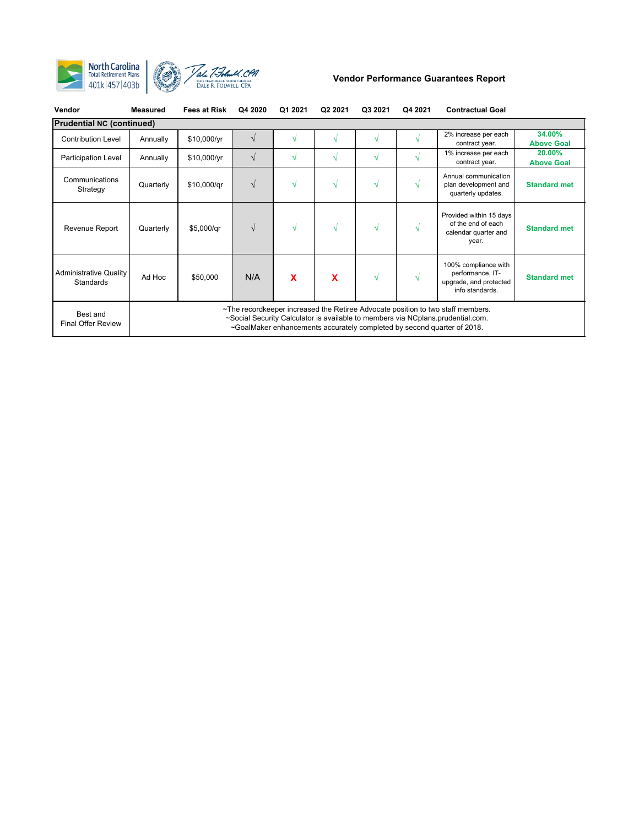

| Vendor                                     | <b>Measured</b> | <b>Fees at Risk</b>                                                                                                                                                                                                                                 | Q4 2020    | Q1 2021 | Q2 2021 | Q3 2021    | Q4 2021 | <b>Contractual Goal</b>                                                               |                             |  |  |
|--------------------------------------------|-----------------|-----------------------------------------------------------------------------------------------------------------------------------------------------------------------------------------------------------------------------------------------------|------------|---------|---------|------------|---------|---------------------------------------------------------------------------------------|-----------------------------|--|--|
| <b>Prudential NC (continued)</b>           |                 |                                                                                                                                                                                                                                                     |            |         |         |            |         |                                                                                       |                             |  |  |
| <b>Contribution Level</b>                  | Annually        | \$10,000/yr                                                                                                                                                                                                                                         | V          | V       |         | N          |         | 2% increase per each<br>contract year.                                                | 34.00%<br><b>Above Goal</b> |  |  |
| <b>Participation Level</b>                 | Annually        | \$10,000/yr                                                                                                                                                                                                                                         | $\sqrt{ }$ | √       |         | N          |         | 1% increase per each<br>contract year.                                                | 20.00%<br><b>Above Goal</b> |  |  |
| Communications<br>Strategy                 | Quarterly       | \$10,000/qr                                                                                                                                                                                                                                         | $\sqrt{ }$ | V       | N       | N          | N       | Annual communication<br>plan development and<br>quarterly updates.                    | <b>Standard met</b>         |  |  |
| Revenue Report                             | Quarterly       | \$5,000/gr                                                                                                                                                                                                                                          | V          | √       | N       | V          |         | Provided within 15 days<br>of the end of each<br>calendar quarter and<br>year.        | <b>Standard met</b>         |  |  |
| <b>Administrative Quality</b><br>Standards | Ad Hoc          | \$50,000                                                                                                                                                                                                                                            | N/A        | X       | X       | $\sqrt{ }$ |         | 100% compliance with<br>performance, IT-<br>upgrade, and protected<br>info standards. | <b>Standard met</b>         |  |  |
| Best and<br><b>Final Offer Review</b>      |                 | ~The recordkeeper increased the Retiree Advocate position to two staff members.<br>~Social Security Calculator is available to members via NCplans.prudential.com.<br>$\sim$ GoalMaker enhancements accurately completed by second quarter of 2018. |            |         |         |            |         |                                                                                       |                             |  |  |